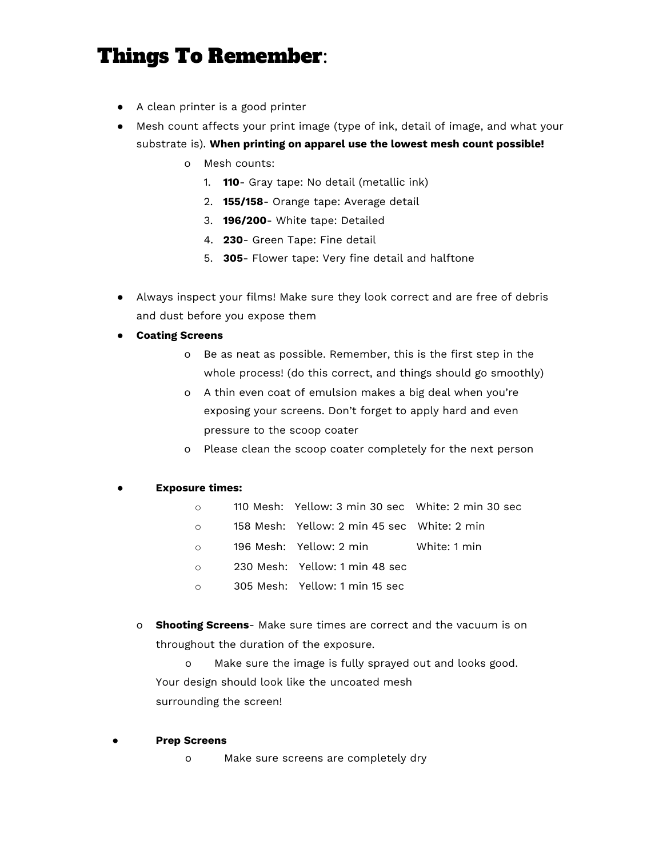## Things To Remember:

- A clean printer is a good printer
- Mesh count affects your print image (type of ink, detail of image, and what your substrate is). **When printing on apparel use the lowest mesh count possible!**
	- o Mesh counts:
		- 1. **110** Gray tape: No detail (metallic ink)
		- 2. **155/158** Orange tape: Average detail
		- 3. **196/200** White tape: Detailed
		- 4. **230** Green Tape: Fine detail
		- 5. **305** Flower tape: Very fine detail and halftone
- Always inspect your films! Make sure they look correct and are free of debris and dust before you expose them
- **● Coating Screens**
	- o Be as neat as possible. Remember, this is the first step in the whole process! (do this correct, and things should go smoothly)
	- o A thin even coat of emulsion makes a big deal when you're exposing your screens. Don't forget to apply hard and even pressure to the scoop coater
	- o Please clean the scoop coater completely for the next person

## **● Exposure times:**

- o 110 Mesh: Yellow: 3 min 30 sec White: 2 min 30 sec
- o 158 Mesh: Yellow: 2 min 45 sec White: 2 min
- o 196 Mesh: Yellow: 2 min White: 1 min
- o 230 Mesh: Yellow: 1 min 48 sec
- o 305 Mesh: Yellow: 1 min 15 sec
- o **Shooting Screens** Make sure times are correct and the vacuum is on throughout the duration of the exposure.

o Make sure the image is fully sprayed out and looks good. Your design should look like the uncoated mesh surrounding the screen!

## **● Prep Screens**

o Make sure screens are completely dry